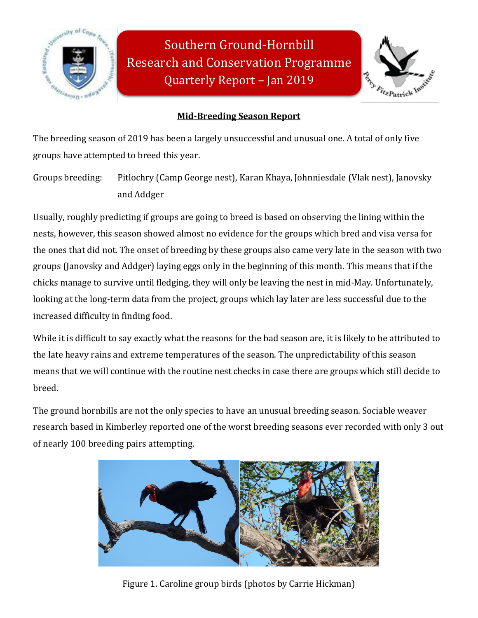

Southern Ground-Hornbill Research and Conservation Programme Quarterly Report – Jan 2019



# **Mid-Breeding Season Report**

The breeding season of 2019 has been a largely unsuccessful and unusual one. A total of only five groups have attempted to breed this year.

Groups breeding: Pitlochry (Camp George nest), Karan Khaya, Johnniesdale (Vlak nest), Janovsky and Addger

Usually, roughly predicting if groups are going to breed is based on observing the lining within the nests, however, this season showed almost no evidence for the groups which bred and visa versa for the ones that did not. The onset of breeding by these groups also came very late in the season with two groups (Janovsky and Addger) laying eggs only in the beginning of this month. This means that if the chicks manage to survive until fledging, they will only be leaving the nest in mid-May. Unfortunately, looking at the long-term data from the project, groups which lay later are less successful due to the increased difficulty in finding food.

While it is difficult to say exactly what the reasons for the bad season are, it is likely to be attributed to the late heavy rains and extreme temperatures of the season. The unpredictability of this season means that we will continue with the routine nest checks in case there are groups which still decide to breed.

The ground hornbills are not the only species to have an unusual breeding season. Sociable weaver research based in Kimberley reported one of the worst breeding seasons ever recorded with only 3 out of nearly 100 breeding pairs attempting.



Figure 1. Caroline group birds (photos by Carrie Hickman)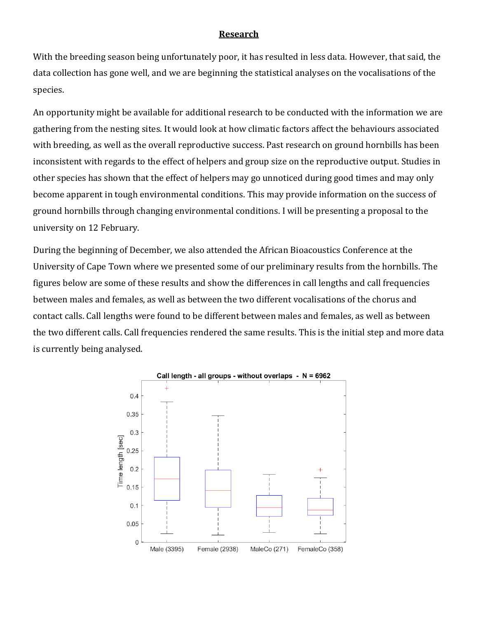### **Research**

With the breeding season being unfortunately poor, it has resulted in less data. However, that said, the data collection has gone well, and we are beginning the statistical analyses on the vocalisations of the species.

An opportunity might be available for additional research to be conducted with the information we are gathering from the nesting sites. It would look at how climatic factors affect the behaviours associated with breeding, as well as the overall reproductive success. Past research on ground hornbills has been inconsistent with regards to the effect of helpers and group size on the reproductive output. Studies in other species has shown that the effect of helpers may go unnoticed during good times and may only become apparent in tough environmental conditions. This may provide information on the success of ground hornbills through changing environmental conditions. I will be presenting a proposal to the university on 12 February.

During the beginning of December, we also attended the African Bioacoustics Conference at the University of Cape Town where we presented some of our preliminary results from the hornbills. The figures below are some of these results and show the differences in call lengths and call frequencies between males and females, as well as between the two different vocalisations of the chorus and contact calls. Call lengths were found to be different between males and females, as well as between the two different calls. Call frequencies rendered the same results. This is the initial step and more data is currently being analysed.

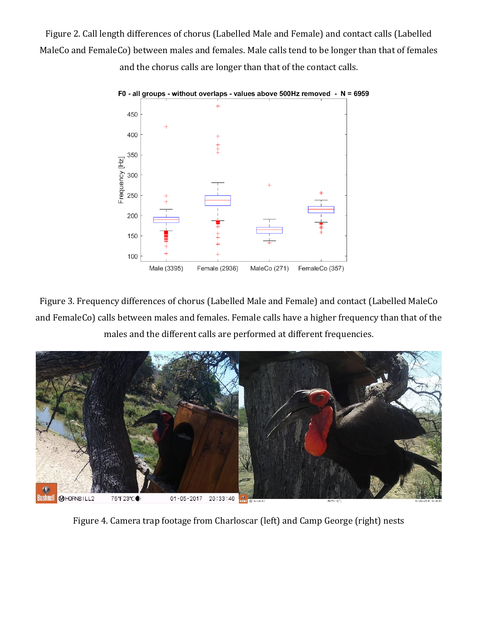Figure 2. Call length differences of chorus (Labelled Male and Female) and contact calls (Labelled MaleCo and FemaleCo) between males and females. Male calls tend to be longer than that of females and the chorus calls are longer than that of the contact calls.



Figure 3. Frequency differences of chorus (Labelled Male and Female) and contact (Labelled MaleCo and FemaleCo) calls between males and females. Female calls have a higher frequency than that of the males and the different calls are performed at different frequencies.



Figure 4. Camera trap footage from Charloscar (left) and Camp George (right) nests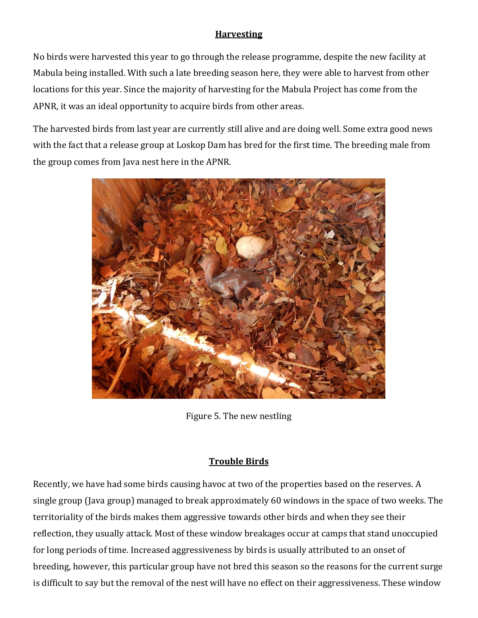## **Harvesting**

No birds were harvested this year to go through the release programme, despite the new facility at Mabula being installed. With such a late breeding season here, they were able to harvest from other locations for this year. Since the majority of harvesting for the Mabula Project has come from the APNR, it was an ideal opportunity to acquire birds from other areas.

The harvested birds from last year are currently still alive and are doing well. Some extra good news with the fact that a release group at Loskop Dam has bred for the first time. The breeding male from the group comes from Java nest here in the APNR.



Figure 5. The new nestling

### **Trouble Birds**

Recently, we have had some birds causing havoc at two of the properties based on the reserves. A single group (Java group) managed to break approximately 60 windows in the space of two weeks. The territoriality of the birds makes them aggressive towards other birds and when they see their reflection, they usually attack. Most of these window breakages occur at camps that stand unoccupied for long periods of time. Increased aggressiveness by birds is usually attributed to an onset of breeding, however, this particular group have not bred this season so the reasons for the current surge is difficult to say but the removal of the nest will have no effect on their aggressiveness. These window